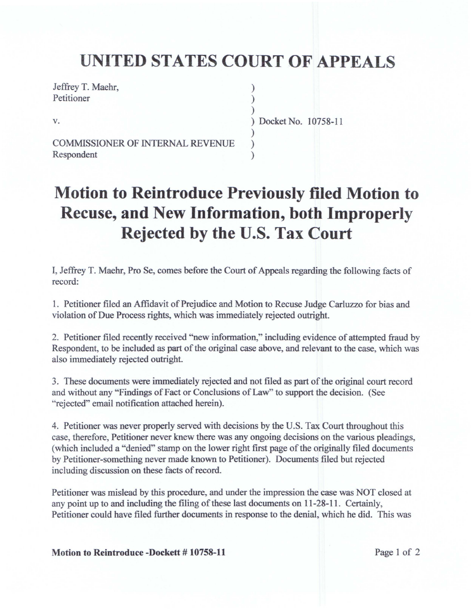## **UNITED STATES COURT OF APPEALS**

) ) )

) ) )

Jeffrey T. Maehr, Petitioner

v.

) Docket No. 10758-11

COMMISSIONER OF INTERNAL REVENUE Respondent

## **Motion to Reintroduce Previously filed Motion to Recuse, and New Information, both Improperly Rejected by the U.S. Tax Court**

I, Jeffrey T. Maehr, Pro Se, comes before the Court of Appeals regarding the following facts of record:

I. Petitioner filed an Affidavit of Prejudice and Motion to Recuse Judge Carluzzo for bias and violation of Due Process rights, which was immediately rejected outright.

2. Petitioner filed recently received "new information," including evidence of attempted fraud by Respondent, to be included as part of the original case above, and relevant to the case, which was also immediately rejected outright.

3. These documents were immediately rejected and not filed as part of the original court record and without any "Findings of Fact or Conclusions of Law" to support the decision. (See "rejected" email notification attached herein).

4. Petitioner was never properly served with decisions by the U.S. Tax Court throughout this case, therefore, Petitioner never knew there was any ongoing decisions on the various pleadings, (which included a "denied" stamp on the lower right first page of the originally filed documents by Petitioner-something never made known to Petitioner). Documents filed but rejected including discussion on these facts of record.

Petitioner was mislead by this procedure, and under the impression the case was NOT closed at any point up to and including the filing of these last documents on 11-28-11. Certainly, Petitioner could have filed further documents in response to the denial, which he did. This was

**Motion to Reintroduce -Dockett # 10758-11** Page 1 of 2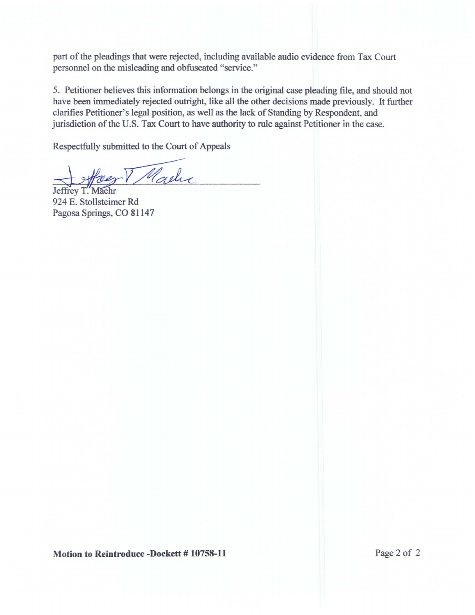part of the pleadings that were rejected, including available audio evidence from Tax Court personnel on the misleading and obfuscated "service."

5. Petitioner believes this information belongs in the original case pleading file, and should not have been immediately rejected outright, like all the other decisions made previously. It further clarifies Petitioner's legal position, as well as the lack of Standing by Respondent, and jurisdiction of the U.S. Tax Court to have authority to rule against Petitioner in the case.

Respectfully submitted to the Court of Appeals

Marche Haez

924 E. Stollsteimer Rd Pagosa Springs, CO 81147